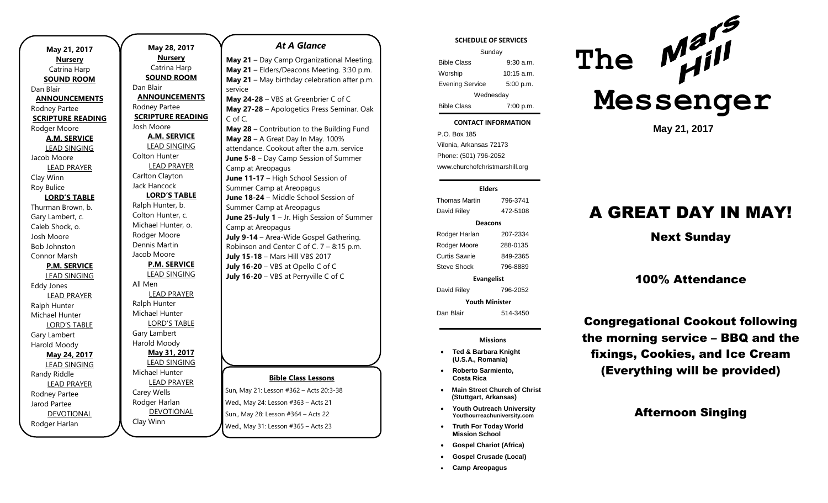| May 21, 2017             |  |  |
|--------------------------|--|--|
| <b>Nursery</b>           |  |  |
| Catrina Harp             |  |  |
| <b>SOUND ROOM</b>        |  |  |
| Dan Blair                |  |  |
| <b>ANNOUNCEMENTS</b>     |  |  |
| Rodney Partee            |  |  |
| <b>SCRIPTURE READING</b> |  |  |
| Rodger Moore             |  |  |
| <b>A.M. SERVICE</b>      |  |  |
| <b>LEAD SINGING</b>      |  |  |
| Jacob Moore              |  |  |
| <b>LEAD PRAYER</b>       |  |  |
| Clay Winn                |  |  |
| <b>Roy Bulice</b>        |  |  |
| <b>LORD'S TABLE</b>      |  |  |
| Thurman Brown, b.        |  |  |
| Gary Lambert, c.         |  |  |
| Caleb Shock, o.          |  |  |
| Josh Moore               |  |  |
| <b>Bob Johnston</b>      |  |  |
| Connor Marsh             |  |  |
| <b>P.M. SERVICE</b>      |  |  |
| <b>LEAD SINGING</b>      |  |  |
| <b>Eddy Jones</b>        |  |  |
| <b>LEAD PRAYER</b>       |  |  |
| Ralph Hunter             |  |  |
| Michael Hunter           |  |  |
| <b>LORD'S TABLE</b>      |  |  |
| Gary Lambert             |  |  |
| Harold Moody             |  |  |
| May 24, 2017             |  |  |
| LEAD SINGING             |  |  |
| Randy Riddle             |  |  |
| <b>LEAD PRAYER</b>       |  |  |
| Rodney Partee            |  |  |
| Jarod Partee             |  |  |
| <b>DEVOTIONAL</b>        |  |  |
| Rodger Harlan            |  |  |

**May 28, 2017 Nursery** Catrina Harp **SOUND ROOM** Dan Blair **ANNOUNCEMENTS** Rodney Partee **SCRIPTURE READING** Josh Moore **A.M. SERVICE** LEAD SINGING Colton Hunter LEAD PRAYER Carlton Clayton Jack Hancock **LORD'S TABLE** Ralph Hunter, b. Colton Hunter, c. Michael Hunter, o. Rodger Moore Dennis Martin Jacob Moore **P.M. SERVICE** LEAD SINGING All Men LEAD PRAYER Ralph Hunter Michael Hunter LORD'S TABLE Gary Lambert Harold Moody **May 31, 2017** LEAD SINGING Michael Hunter LEAD PRAYER Carey Wells Rodger Harlan DEVOTIONAL Clay Winn

### *At A Glance*

**May 21** – Day Camp Organizational Meeting. **May 21** – Elders/Deacons Meeting. 3:30 p.m. **May 21** – May birthday celebration after p.m. service

**May 24-28** – VBS at Greenbrier C of C **May 27-28** – Apologetics Press Seminar. Oak C of C.

**May 28** – Contribution to the Building Fund **May 28** – A Great Day In May. 100% attendance. Cookout after the a.m. service **June 5-8** – Day Camp Session of Summer Camp at Areopagus **June 11-17** – High School Session of Summer Camp at Areopagus **June 18-24** – Middle School Session of Summer Camp at Areopagus **June 25-July 1** – Jr. High Session of Summer Camp at Areopagus **July 9-14** – Area-Wide Gospel Gathering. Robinson and Center C of C. 7 – 8:15 p.m. **July 15-18** – Mars Hill VBS 2017 **July 16-20** – VBS at Opello C of C **July 16-20** – VBS at Perryville C of C

### **Bible Class Lessons**

Sun, May 21: Lesson #362 – Acts 20:3-38 Wed., May 24: Lesson #363 – Acts 21 Sun., May 28: Lesson #364 – Acts 22 Wed., May 31: Lesson #365 – Acts 23

#### **SCHEDULE OF SERVICES**

| Sunday                 |              |  |
|------------------------|--------------|--|
| <b>Bible Class</b>     | $9:30$ a.m.  |  |
| Worship                | $10:15$ a.m. |  |
| <b>Evening Service</b> | 5:00 p.m.    |  |
| Wednesday              |              |  |
| <b>Bible Class</b>     | 7:00 p.m.    |  |

#### **CONTACT INFORMATION**

tuesday<br>Tuesday . .o. Box 166<br>Vilonia, Arkansas 72173 P.O. Box 185 Phone: (501) 796-2052 www.churchofchristmarshill.org

### **Elders** Thomas Martin 796-3741 David Riley 472-5108 **Deacons** Rodger Harlan 207-2334 Rodger Moore 288-0135 Curtis Sawrie 849-2365 Steve Shock 796-8889 **Evangelist** David Riley 796-2052

**Youth Minister**

Dan Blair 514-3450

**Missions**

- **Ted & Barbara Knight (U.S.A., Romania)**
- **Roberto Sarmiento, Costa Rica**
- **Main Street Church of Christ (Stuttgart, Arkansas)**
- **Youth Outreach University Youthourreachuniversity.com**
- **Truth For Today World Mission School**
- **Gospel Chariot (Africa)**
- **Gospel Crusade (Local)**
- **Camp Areopagus**



**May 21, 2017**

# A GREAT DAY IN MAY!

Next Sunday

### 100% Attendance

Congregational Cookout following the morning service – BBQ and the fixings, Cookies, and Ice Cream (Everything will be provided)

### Afternoon Singing